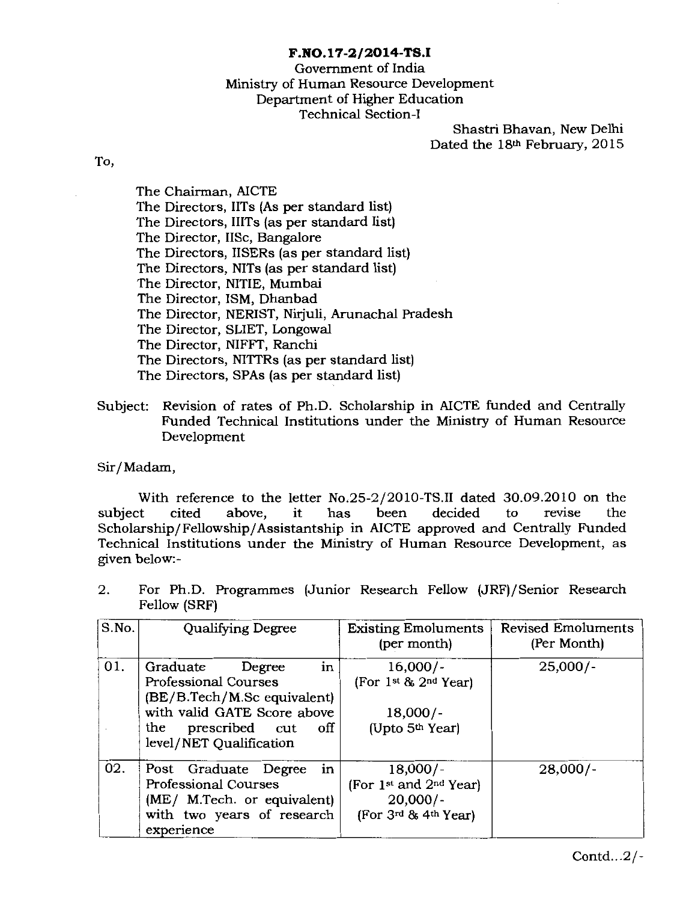#### **F.NO.l7-2/2014-TS.I**

### Govemment of India Ministry of Human Resource Development Department of Higher Education Technical Section-!

Shastri Bhavan, New Delhi Dated the 18th February, 2015

To,

The Chairman, AICTE The Directors, IITs (As per standard list) The Directors, IIITs (as per standard list) The Director, liSe, Bangalore The Directors, IISERs (as per standard list) The Directors, NITs (as per standard list) The Director, NITIE, Mumbai The Director, ISM, Dhanbad The Director, NERIST, Nirjuli, Arunachal Pradesh The Director, SLIET, Longowal The Director, NIFFT, Ranchi The Directors, NITTRs (as per standard list) The Directors, SPAs (as per standard list)

Subject: Revision of rates of Ph.D. Scholarship in AICTE funded and Centrally Funded Technical Institutions under the Ministry of Human Resource Development

Sir/Madam,

With reference to the letter No.25-2/2010-TS.II dated 30.09.2010 on the to revise the test of the state of the state of the state of the state of the state of the state of the state of the state of the state of the state o subject cited above, it has been decided to revise the Scholarship/Fellowship/Assistantship in AICTE approved and Centrally Funded Technical Institutions under the Ministry of Human Resource Development, as given below:-

| S.No. | <b>Qualifying Degree</b>                                                                                                                                                  | <b>Existing Emoluments</b><br>(per month)                                                          | <b>Revised Emoluments</b><br>(Per Month) |
|-------|---------------------------------------------------------------------------------------------------------------------------------------------------------------------------|----------------------------------------------------------------------------------------------------|------------------------------------------|
| 01.   | in<br>Graduate<br>Degree<br>Professional Courses<br>(BE/B.Tech/M.Sc equivalent)<br>with valid GATE Score above<br>prescribed cut<br>off<br>the<br>level/NET Qualification | $16,000/-$<br>(For 1st & 2nd Year)<br>$18,000/-$<br>(Upto 5 <sup>th</sup> Year)                    | $25,000/-$                               |
| 02.   | in<br>Post Graduate Degree<br><b>Professional Courses</b><br>(ME/ M.Tech. or equivalent)<br>with two years of research<br>experience                                      | $18,000/-$<br>(For 1 <sup>st</sup> and 2 <sup>nd</sup> Year)<br>$20,000/-$<br>(For 3rd & 4th Year) | $28,000/-$                               |

2. For Ph.D. Programmes (Junior Research Fellow (JRF)/Senior Research Fellow (SRF)

Contd...2/-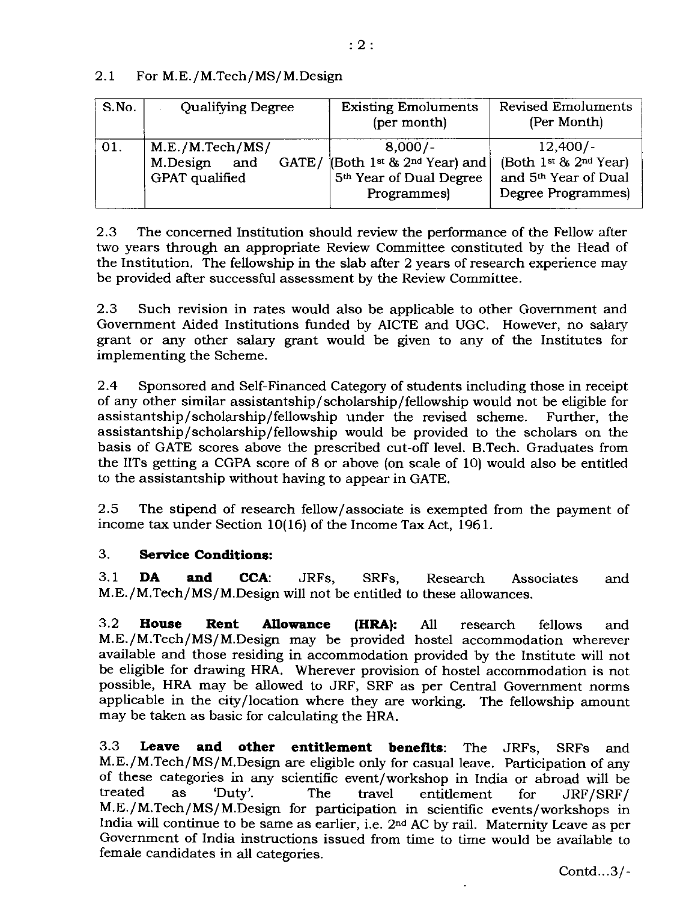# 2.1 For M.E./M.Tech/MS/M.Design

| S.No. | <b>Qualifying Degree</b> | <b>Existing Emoluments</b><br>(per month) | <b>Revised Emoluments</b><br>(Per Month) |
|-------|--------------------------|-------------------------------------------|------------------------------------------|
| 01.   | M.E./M.Tech/MS/          | $8,000/-$                                 | $12,400/-$                               |
|       | and                      | GATE/ (Both 1st & 2nd Year) and           | (Both 1st & 2nd Year)                    |
|       | M.Design                 | 5 <sup>th</sup> Year of Dual Degree       | and 5 <sup>th</sup> Year of Dual         |
|       | GPAT qualified           | Programmes)                               | Degree Programmes)                       |

2.3 The concemed Institution should review the performance of the Fellow after two years through an appropriate Review Committee constituted by the Head of the Institution. The fellowship in the slab after 2 years of research experience may be provided after successful assessment by the Review Committee.

2.3 Such revision in rates would also be applicable to other Govemment and Govemment Aided Institutions funded by AICTE and UGC. However, no salary grant or any other salary grant would be given to any of the Institutes for implementing the Scheme.

2.4 Sponsored and Self-Financed Category of students including those in receipt of any other similar assistantship/scholarship/fellowship would not be eligible for assistantship/scholarship/fellowship under the revised scheme. Further, the assistantship/scholarship/fellowship would be provided to the scholars on the basis of GATE scores above the prescribed cut-off level. B.Tech. Graduates from the IITs getting a CGPA score of 8 or above (on scale of 10) would also be entitled to the assistantship without having to appear in GATE.

2.5 The stipend of research fellow/associate is exempted from the payment of income tax under Section 10(16) of the Income Tax Act, 1961.

# 3. **Service Conditions:**

3.1 **DA and CCA:** JRFs, SRFs, Research Associates and M.E./M.Tech/MS/M.Design will not be entitled to these allowances.

3.2 **House Rent Allowance (HRA):** All research fellows and M.E./M.Tech/MS/M.Design may be provided hostel accommodation wherever available and those residing in accommodation provided by the Institute will not be eligible for drawing HRA. Wherever provision of hostel accommodation is not possible, HRA may be allowed to JRF, SRF as per Central Govemment norms applicable in the city /location where they are working. The fellowship amount may be taken as basic for calculating the HRA.

3.3 **Leave and other entitlement benefits:** The JRFs, SRFs and M.E./M.Tech/MS/M.Design are eligible only for casual leave. Participation of any of these categories in any scientific event/workshop in India or abroad will be treated as 'Duty'. The travel entitlement for JRF/SRF/ M.E./M.Tech/MS/M.Design for participation in scientific events/workshops in India will continue to be same as earlier, i.e. 2nd AC by rail. Maternity Leave as per Government of India instructions issued from time to time would be available to female candidates in all categories.